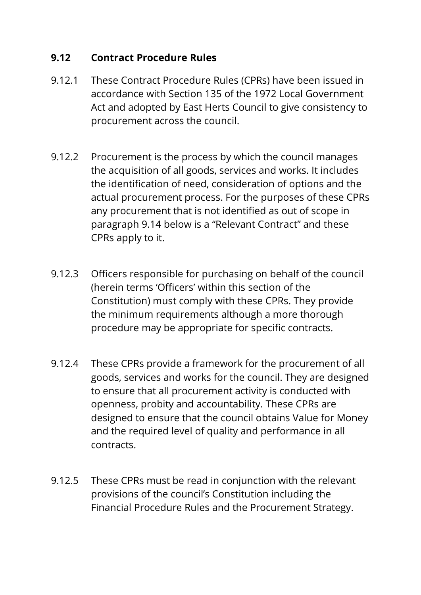### **9.12 Contract Procedure Rules**

- 9.12.1 These Contract Procedure Rules (CPRs) have been issued in accordance with Section 135 of the 1972 Local Government Act and adopted by East Herts Council to give consistency to procurement across the council.
- 9.12.2 Procurement is the process by which the council manages the acquisition of all goods, services and works. It includes the identification of need, consideration of options and the actual procurement process. For the purposes of these CPRs any procurement that is not identified as out of scope in paragraph 9.14 below is a "Relevant Contract" and these CPRs apply to it.
- 9.12.3 Officers responsible for purchasing on behalf of the council (herein terms 'Officers' within this section of the Constitution) must comply with these CPRs. They provide the minimum requirements although a more thorough procedure may be appropriate for specific contracts.
- 9.12.4 These CPRs provide a framework for the procurement of all goods, services and works for the council. They are designed to ensure that all procurement activity is conducted with openness, probity and accountability. These CPRs are designed to ensure that the council obtains Value for Money and the required level of quality and performance in all contracts.
- 9.12.5 These CPRs must be read in conjunction with the relevant provisions of the council's Constitution including the Financial Procedure Rules and the Procurement Strategy.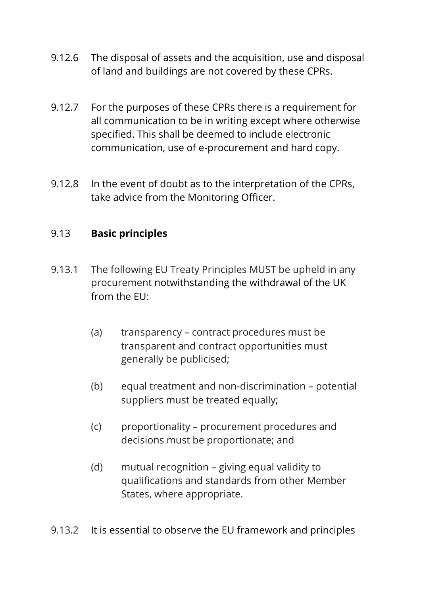- 9.12.6 The disposal of assets and the acquisition, use and disposal of land and buildings are not covered by these CPRs.
- 9.12.7 For the purposes of these CPRs there is a requirement for all communication to be in writing except where otherwise specified. This shall be deemed to include electronic communication, use of e-procurement and hard copy.
- 9.12.8 In the event of doubt as to the interpretation of the CPRs, take advice from the Monitoring Officer.

### 9.13 **Basic principles**

- 9.13.1 The following EU Treaty Principles MUST be upheld in any procurement notwithstanding the withdrawal of the UK from the EU:
	- (a) transparency contract procedures must be transparent and contract opportunities must generally be publicised;
	- (b) equal treatment and non-discrimination potential suppliers must be treated equally;
	- (c) proportionality procurement procedures and decisions must be proportionate; and
	- (d) mutual recognition giving equal validity to qualifications and standards from other Member States, where appropriate.
- 9.13.2 It is essential to observe the EU framework and principles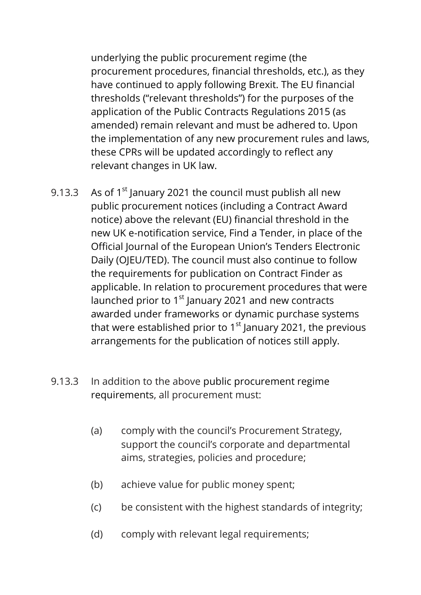underlying the public procurement regime (the procurement procedures, financial thresholds, etc.), as they have continued to apply following Brexit. The EU financial thresholds ("relevant thresholds") for the purposes of the application of the Public Contracts Regulations 2015 (as amended) remain relevant and must be adhered to. Upon the implementation of any new procurement rules and laws, these CPRs will be updated accordingly to reflect any relevant changes in UK law.

- 9.13.3 As of  $1<sup>st</sup>$  January 2021 the council must publish all new public procurement notices (including a Contract Award notice) above the relevant (EU) financial threshold in the new UK e-notification service, Find a Tender, in place of the Official Journal of the European Union's Tenders Electronic Daily (OJEU/TED). The council must also continue to follow the requirements for publication on Contract Finder as applicable. In relation to procurement procedures that were launched prior to 1<sup>st</sup> January 2021 and new contracts awarded under frameworks or dynamic purchase systems that were established prior to  $1<sup>st</sup>$  January 2021, the previous arrangements for the publication of notices still apply.
- 9.13.3 In addition to the above public procurement regime requirements, all procurement must:
	- (a) comply with the council's Procurement Strategy, support the council's corporate and departmental aims, strategies, policies and procedure;
	- (b) achieve value for public money spent;
	- (c) be consistent with the highest standards of integrity;
	- (d) comply with relevant legal requirements;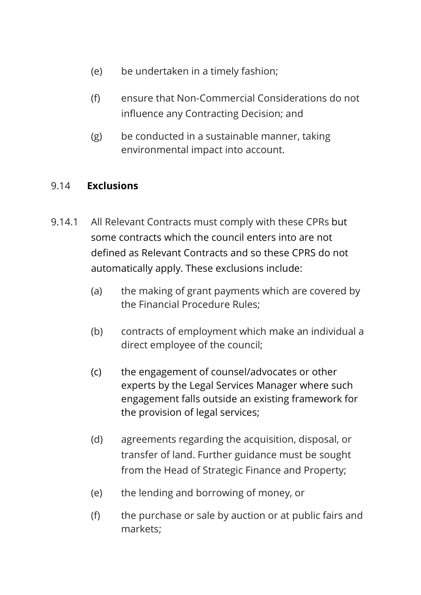- (e) be undertaken in a timely fashion;
- (f) ensure that Non-Commercial Considerations do not influence any Contracting Decision; and
- (g) be conducted in a sustainable manner, taking environmental impact into account.

### 9.14 **Exclusions**

- 9.14.1 All Relevant Contracts must comply with these CPRs but some contracts which the council enters into are not defined as Relevant Contracts and so these CPRS do not automatically apply. These exclusions include:
	- (a) the making of grant payments which are covered by the Financial Procedure Rules;
	- (b) contracts of employment which make an individual a direct employee of the council;
	- (c) the engagement of counsel/advocates or other experts by the Legal Services Manager where such engagement falls outside an existing framework for the provision of legal services;
	- (d) agreements regarding the acquisition, disposal, or transfer of land. Further guidance must be sought from the Head of Strategic Finance and Property;
	- (e) the lending and borrowing of money, or
	- (f) the purchase or sale by auction or at public fairs and markets;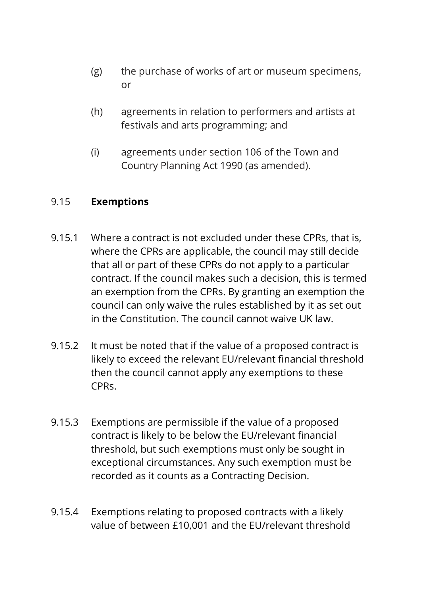- (g) the purchase of works of art or museum specimens, or
- (h) agreements in relation to performers and artists at festivals and arts programming; and
- (i) agreements under section 106 of the Town and Country Planning Act 1990 (as amended).

#### 9.15 **Exemptions**

- 9.15.1 Where a contract is not excluded under these CPRs, that is, where the CPRs are applicable, the council may still decide that all or part of these CPRs do not apply to a particular contract. If the council makes such a decision, this is termed an exemption from the CPRs. By granting an exemption the council can only waive the rules established by it as set out in the Constitution. The council cannot waive UK law.
- 9.15.2 It must be noted that if the value of a proposed contract is likely to exceed the relevant EU/relevant financial threshold then the council cannot apply any exemptions to these CPRs.
- 9.15.3 Exemptions are permissible if the value of a proposed contract is likely to be below the EU/relevant financial threshold, but such exemptions must only be sought in exceptional circumstances. Any such exemption must be recorded as it counts as a Contracting Decision.
- 9.15.4 Exemptions relating to proposed contracts with a likely value of between £10,001 and the EU/relevant threshold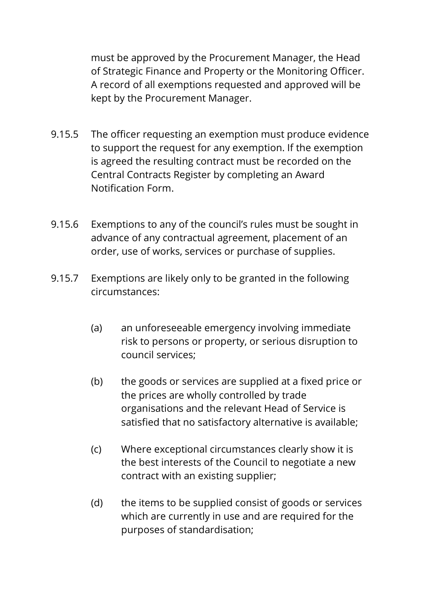must be approved by the Procurement Manager, the Head of Strategic Finance and Property or the Monitoring Officer. A record of all exemptions requested and approved will be kept by the Procurement Manager.

- 9.15.5 The officer requesting an exemption must produce evidence to support the request for any exemption. If the exemption is agreed the resulting contract must be recorded on the Central Contracts Register by completing an Award Notification Form.
- 9.15.6 Exemptions to any of the council's rules must be sought in advance of any contractual agreement, placement of an order, use of works, services or purchase of supplies.
- 9.15.7 Exemptions are likely only to be granted in the following circumstances:
	- (a) an unforeseeable emergency involving immediate risk to persons or property, or serious disruption to council services;
	- (b) the goods or services are supplied at a fixed price or the prices are wholly controlled by trade organisations and the relevant Head of Service is satisfied that no satisfactory alternative is available;
	- (c) Where exceptional circumstances clearly show it is the best interests of the Council to negotiate a new contract with an existing supplier;
	- (d) the items to be supplied consist of goods or services which are currently in use and are required for the purposes of standardisation;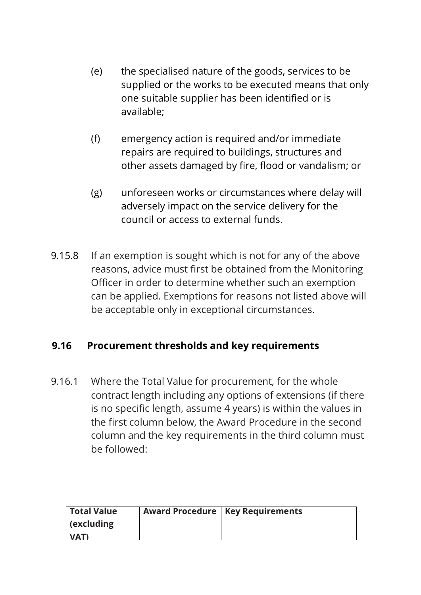- (e) the specialised nature of the goods, services to be supplied or the works to be executed means that only one suitable supplier has been identified or is available;
- (f) emergency action is required and/or immediate repairs are required to buildings, structures and other assets damaged by fire, flood or vandalism; or
- (g) unforeseen works or circumstances where delay will adversely impact on the service delivery for the council or access to external funds.
- 9.15.8 If an exemption is sought which is not for any of the above reasons, advice must first be obtained from the Monitoring Officer in order to determine whether such an exemption can be applied. Exemptions for reasons not listed above will be acceptable only in exceptional circumstances.

### **9.16 Procurement thresholds and key requirements**

9.16.1 Where the Total Value for procurement, for the whole contract length including any options of extensions (if there is no specific length, assume 4 years) is within the values in the first column below, the Award Procedure in the second column and the key requirements in the third column must be followed:

| <b>Total Value</b> | <b>Award Procedure   Key Requirements</b> |
|--------------------|-------------------------------------------|
| $ $ (excluding     |                                           |
| <b>NATI</b>        |                                           |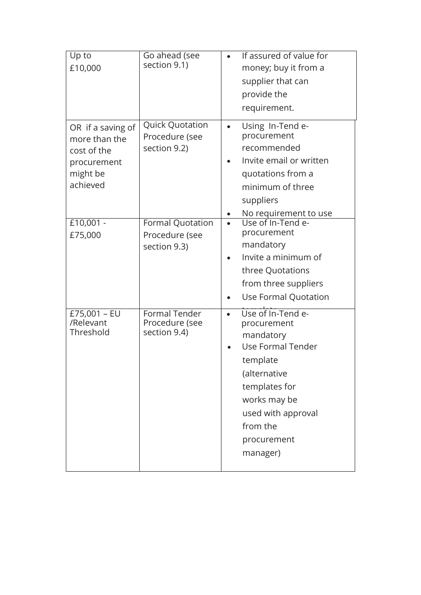| Up to<br>£10,000                                                                         | Go ahead (see<br>section 9.1)                             |           | If assured of value for<br>money; buy it from a<br>supplier that can<br>provide the<br>requirement.                                                                                          |
|------------------------------------------------------------------------------------------|-----------------------------------------------------------|-----------|----------------------------------------------------------------------------------------------------------------------------------------------------------------------------------------------|
| OR if a saving of<br>more than the<br>cost of the<br>procurement<br>might be<br>achieved | <b>Quick Quotation</b><br>Procedure (see<br>section 9.2)  |           | Using In-Tend e-<br>procurement<br>recommended<br>Invite email or written<br>quotations from a<br>minimum of three<br>suppliers                                                              |
| $£10,001 -$<br>£75,000                                                                   | <b>Formal Quotation</b><br>Procedure (see<br>section 9.3) |           | No requirement to use<br>Use of In-Tend e-<br>procurement<br>mandatory<br>Invite a minimum of<br>three Quotations<br>from three suppliers<br>Use Formal Quotation                            |
| £75,001 - EU<br>/Relevant<br>Threshold                                                   | Formal Tender<br>Procedure (see<br>section 9.4)           | $\bullet$ | Use of In-Tend e-<br>procurement<br>mandatory<br>Use Formal Tender<br>template<br>(alternative<br>templates for<br>works may be<br>used with approval<br>from the<br>procurement<br>manager) |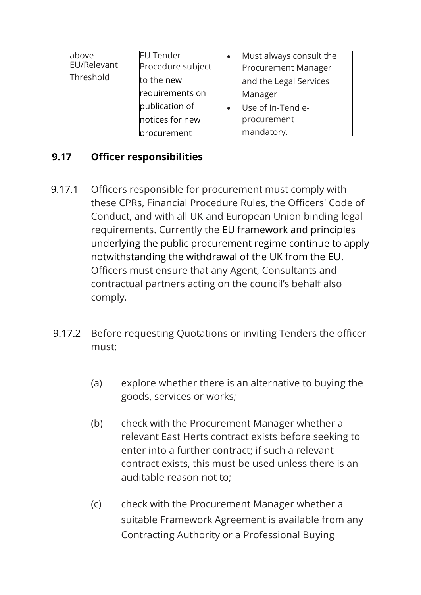| above<br>EU/Relevant<br>Threshold | <b>EU Tender</b><br>Procedure subject<br>to the new<br>requirements on | Must always consult the<br><b>Procurement Manager</b><br>and the Legal Services<br>Manager |
|-----------------------------------|------------------------------------------------------------------------|--------------------------------------------------------------------------------------------|
|                                   | publication of<br>notices for new<br>rocurement                        | Use of In-Tend e-<br>procurement<br>mandatory.                                             |

# section 9.5) **9.17 Officer responsibilities**

- 9.17.1 Officers responsible for procurement must comply with these CPRs, Financial Procedure Rules, the Officers' Code of Conduct, and with all UK and European Union binding legal requirements. Currently the EU framework and principles underlying the public procurement regime continue to apply notwithstanding the withdrawal of the UK from the EU. Officers must ensure that any Agent, Consultants and contractual partners acting on the council's behalf also comply.
- 9.17.2 Before requesting Quotations or inviting Tenders the officer must:
	- (a) explore whether there is an alternative to buying the goods, services or works;
	- (b) check with the Procurement Manager whether a relevant East Herts contract exists before seeking to enter into a further contract; if such a relevant contract exists, this must be used unless there is an auditable reason not to;
	- (c) check with the Procurement Manager whether a suitable Framework Agreement is available from any Contracting Authority or a Professional Buying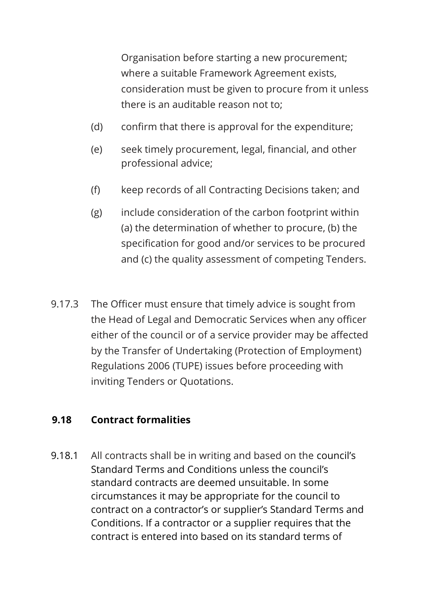Organisation before starting a new procurement; where a suitable Framework Agreement exists, consideration must be given to procure from it unless there is an auditable reason not to;

- (d) confirm that there is approval for the expenditure;
- (e) seek timely procurement, legal, financial, and other professional advice;
- (f) keep records of all Contracting Decisions taken; and
- (g) include consideration of the carbon footprint within (a) the determination of whether to procure, (b) the specification for good and/or services to be procured and (c) the quality assessment of competing Tenders.
- 9.17.3 The Officer must ensure that timely advice is sought from the Head of Legal and Democratic Services when any officer either of the council or of a service provider may be affected by the Transfer of Undertaking (Protection of Employment) Regulations 2006 (TUPE) issues before proceeding with inviting Tenders or Quotations.

#### **9.18 Contract formalities**

9.18.1 All contracts shall be in writing and based on the council's Standard Terms and Conditions unless the council's standard contracts are deemed unsuitable. In some circumstances it may be appropriate for the council to contract on a contractor's or supplier's Standard Terms and Conditions. If a contractor or a supplier requires that the contract is entered into based on its standard terms of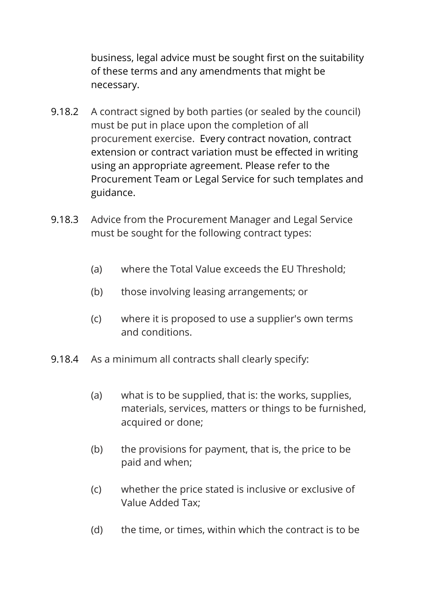business, legal advice must be sought first on the suitability of these terms and any amendments that might be necessary.

- 9.18.2 A contract signed by both parties (or sealed by the council) must be put in place upon the completion of all procurement exercise. Every contract novation, contract extension or contract variation must be effected in writing using an appropriate agreement. Please refer to the Procurement Team or Legal Service for such templates and guidance.
- 9.18.3 Advice from the Procurement Manager and Legal Service must be sought for the following contract types:
	- (a) where the Total Value exceeds the EU Threshold;
	- (b) those involving leasing arrangements; or
	- (c) where it is proposed to use a supplier's own terms and conditions.
- 9.18.4 As a minimum all contracts shall clearly specify:
	- (a) what is to be supplied, that is: the works, supplies, materials, services, matters or things to be furnished, acquired or done;
	- (b) the provisions for payment, that is, the price to be paid and when;
	- (c) whether the price stated is inclusive or exclusive of Value Added Tax;
	- (d) the time, or times, within which the contract is to be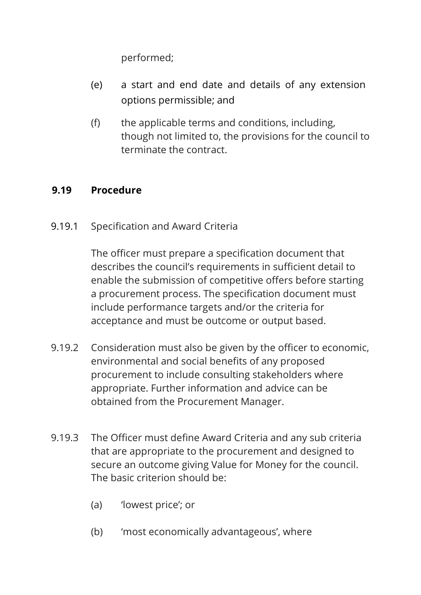performed;

- (e) a start and end date and details of any extension options permissible; and
- (f) the applicable terms and conditions, including, though not limited to, the provisions for the council to terminate the contract.

#### **9.19 Procedure**

9.19.1 Specification and Award Criteria

The officer must prepare a specification document that describes the council's requirements in sufficient detail to enable the submission of competitive offers before starting a procurement process. The specification document must include performance targets and/or the criteria for acceptance and must be outcome or output based.

- 9.19.2 Consideration must also be given by the officer to economic, environmental and social benefits of any proposed procurement to include consulting stakeholders where appropriate. Further information and advice can be obtained from the Procurement Manager.
- 9.19.3 The Officer must define Award Criteria and any sub criteria that are appropriate to the procurement and designed to secure an outcome giving Value for Money for the council. The basic criterion should be:
	- (a) 'lowest price'; or
	- (b) 'most economically advantageous', where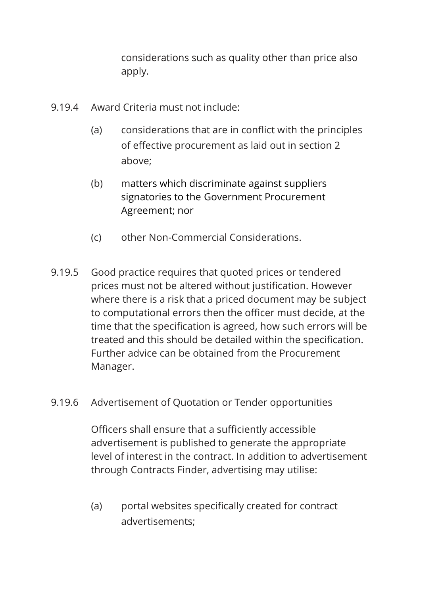considerations such as quality other than price also apply.

- 9.19.4 Award Criteria must not include:
	- (a) considerations that are in conflict with the principles of effective procurement as laid out in section 2 above;
	- (b) matters which discriminate against suppliers signatories to the Government Procurement Agreement; nor
	- (c) other Non-Commercial Considerations.
- 9.19.5 Good practice requires that quoted prices or tendered prices must not be altered without justification. However where there is a risk that a priced document may be subject to computational errors then the officer must decide, at the time that the specification is agreed, how such errors will be treated and this should be detailed within the specification. Further advice can be obtained from the Procurement Manager.
- 9.19.6 Advertisement of Quotation or Tender opportunities

Officers shall ensure that a sufficiently accessible advertisement is published to generate the appropriate level of interest in the contract. In addition to advertisement through Contracts Finder, advertising may utilise:

(a) portal websites specifically created for contract advertisements;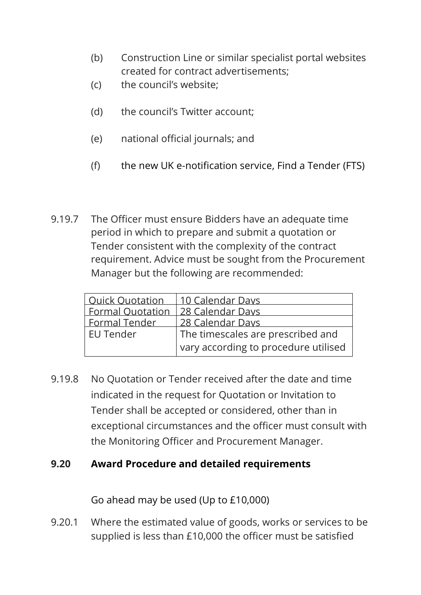- (b) Construction Line or similar specialist portal websites created for contract advertisements;
- (c) the council's website;
- (d) the council's Twitter account;
- (e) national official journals; and
- (f) the new UK e-notification service, Find a Tender (FTS)
- 9.19.7 The Officer must ensure Bidders have an adequate time period in which to prepare and submit a quotation or Tender consistent with the complexity of the contract requirement. Advice must be sought from the Procurement Manager but the following are recommended:

| Ouick Ouotation   10 Calendar Days  |                                      |
|-------------------------------------|--------------------------------------|
| Formal Quotation   28 Calendar Days |                                      |
| <b>Formal Tender</b>                | 28 Calendar Days                     |
| <b>EU Tender</b>                    | The timescales are prescribed and    |
|                                     | vary according to procedure utilised |

9.19.8 No Quotation or Tender received after the date and time indicated in the request for Quotation or Invitation to Tender shall be accepted or considered, other than in exceptional circumstances and the officer must consult with the Monitoring Officer and Procurement Manager.

### **9.20 Award Procedure and detailed requirements**

Go ahead may be used (Up to £10,000)

9.20.1 Where the estimated value of goods, works or services to be supplied is less than £10,000 the officer must be satisfied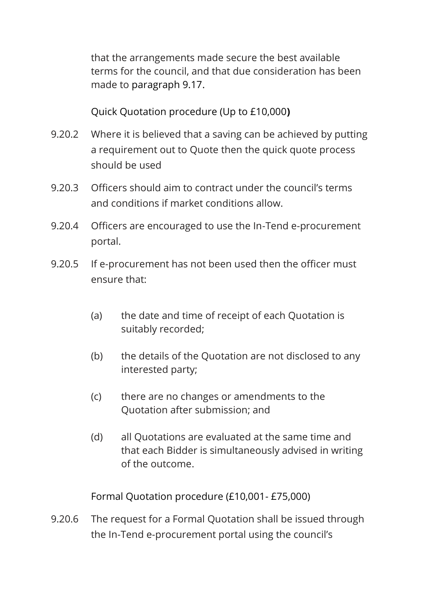that the arrangements made secure the best available terms for the council, and that due consideration has been made to paragraph 9.17.

Quick Quotation procedure (Up to £10,000**)**

- 9.20.2 Where it is believed that a saving can be achieved by putting a requirement out to Quote then the quick quote process should be used
- 9.20.3 Officers should aim to contract under the council's terms and conditions if market conditions allow.
- 9.20.4 Officers are encouraged to use the In-Tend e-procurement portal.
- 9.20.5 If e-procurement has not been used then the officer must ensure that:
	- (a) the date and time of receipt of each Quotation is suitably recorded;
	- (b) the details of the Quotation are not disclosed to any interested party;
	- (c) there are no changes or amendments to the Quotation after submission; and
	- (d) all Quotations are evaluated at the same time and that each Bidder is simultaneously advised in writing of the outcome.

Formal Quotation procedure (£10,001- £75,000)

9.20.6 The request for a Formal Quotation shall be issued through the In-Tend e-procurement portal using the council's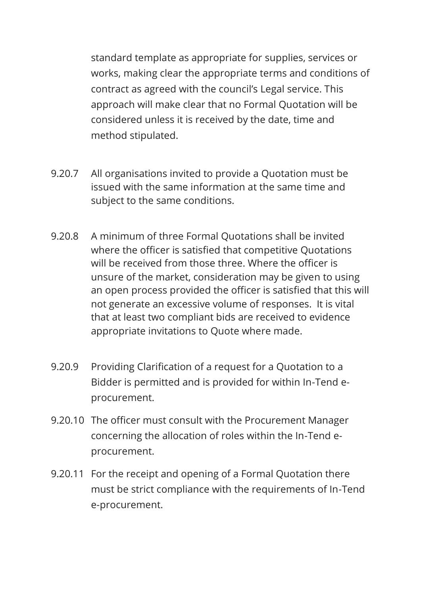standard template as appropriate for supplies, services or works, making clear the appropriate terms and conditions of contract as agreed with the council's Legal service. This approach will make clear that no Formal Quotation will be considered unless it is received by the date, time and method stipulated.

- 9.20.7 All organisations invited to provide a Quotation must be issued with the same information at the same time and subject to the same conditions.
- 9.20.8 A minimum of three Formal Quotations shall be invited where the officer is satisfied that competitive Quotations will be received from those three. Where the officer is unsure of the market, consideration may be given to using an open process provided the officer is satisfied that this will not generate an excessive volume of responses. It is vital that at least two compliant bids are received to evidence appropriate invitations to Quote where made.
- 9.20.9 Providing Clarification of a request for a Quotation to a Bidder is permitted and is provided for within In-Tend eprocurement.
- 9.20.10 The officer must consult with the Procurement Manager concerning the allocation of roles within the In-Tend eprocurement.
- 9.20.11 For the receipt and opening of a Formal Quotation there must be strict compliance with the requirements of In-Tend e-procurement.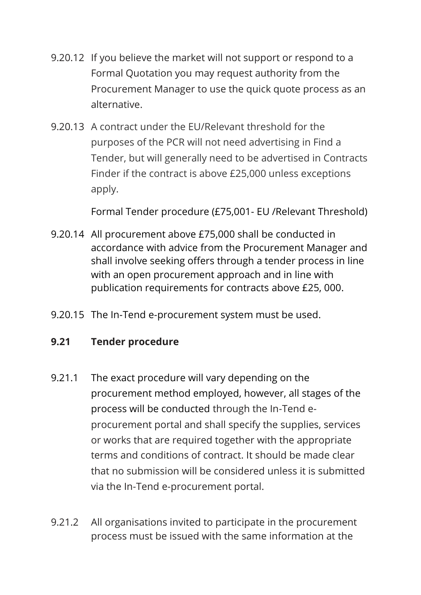- 9.20.12 If you believe the market will not support or respond to a Formal Quotation you may request authority from the Procurement Manager to use the quick quote process as an alternative.
- 9.20.13 A contract under the EU/Relevant threshold for the purposes of the PCR will not need advertising in Find a Tender, but will generally need to be advertised in Contracts Finder if the contract is above £25,000 unless exceptions apply.

Formal Tender procedure (£75,001- EU /Relevant Threshold)

- 9.20.14 All procurement above £75,000 shall be conducted in accordance with advice from the Procurement Manager and shall involve seeking offers through a tender process in line with an open procurement approach and in line with publication requirements for contracts above £25, 000.
- 9.20.15 The In-Tend e-procurement system must be used.

#### **9.21 Tender procedure**

- 9.21.1 The exact procedure will vary depending on the procurement method employed, however, all stages of the process will be conducted through the In-Tend eprocurement portal and shall specify the supplies, services or works that are required together with the appropriate terms and conditions of contract. It should be made clear that no submission will be considered unless it is submitted via the In-Tend e-procurement portal.
- 9.21.2 All organisations invited to participate in the procurement process must be issued with the same information at the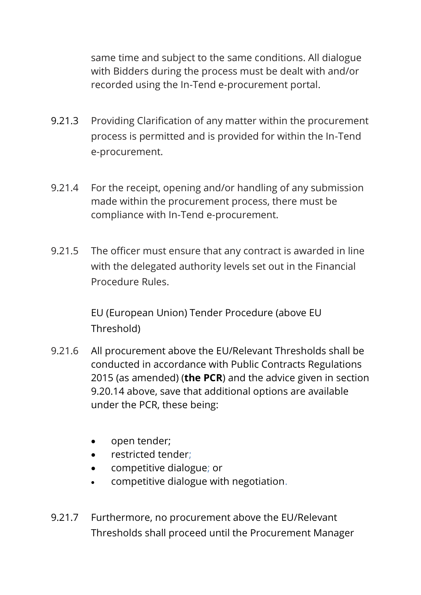same time and subject to the same conditions. All dialogue with Bidders during the process must be dealt with and/or recorded using the In-Tend e-procurement portal.

- 9.21.3 Providing Clarification of any matter within the procurement process is permitted and is provided for within the In-Tend e-procurement.
- 9.21.4 For the receipt, opening and/or handling of any submission made within the procurement process, there must be compliance with In-Tend e-procurement.
- 9.21.5 The officer must ensure that any contract is awarded in line with the delegated authority levels set out in the Financial Procedure Rules.

EU (European Union) Tender Procedure (above EU Threshold)

- 9.21.6 All procurement above the EU/Relevant Thresholds shall be conducted in accordance with Public Contracts Regulations 2015 (as amended) (**the PCR**) and the advice given in section 9.20.14 above, save that additional options are available under the PCR, these being:
	- open tender;
	- restricted tender;
	- competitive dialogue; or
	- competitive dialogue with negotiation.
- 9.21.7 Furthermore, no procurement above the EU/Relevant Thresholds shall proceed until the Procurement Manager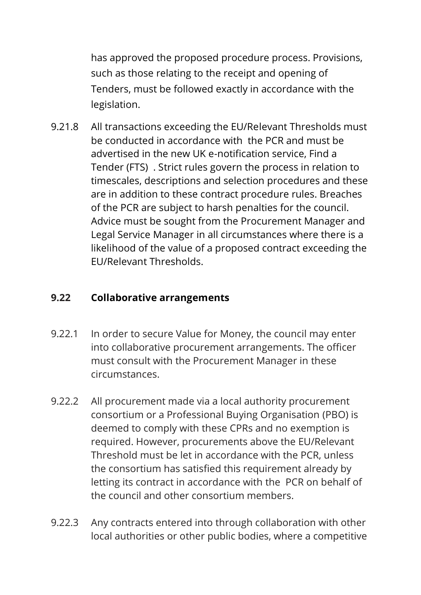has approved the proposed procedure process. Provisions, such as those relating to the receipt and opening of Tenders, must be followed exactly in accordance with the legislation.

9.21.8 All transactions exceeding the EU/Relevant Thresholds must be conducted in accordance with the PCR and must be advertised in the new UK e-notification service, Find a Tender (FTS) . Strict rules govern the process in relation to timescales, descriptions and selection procedures and these are in addition to these contract procedure rules. Breaches of the PCR are subject to harsh penalties for the council. Advice must be sought from the Procurement Manager and Legal Service Manager in all circumstances where there is a likelihood of the value of a proposed contract exceeding the EU/Relevant Thresholds.

### **9.22 Collaborative arrangements**

- 9.22.1 In order to secure Value for Money, the council may enter into collaborative procurement arrangements. The officer must consult with the Procurement Manager in these circumstances.
- 9.22.2 All procurement made via a local authority procurement consortium or a Professional Buying Organisation (PBO) is deemed to comply with these CPRs and no exemption is required. However, procurements above the EU/Relevant Threshold must be let in accordance with the PCR, unless the consortium has satisfied this requirement already by letting its contract in accordance with the PCR on behalf of the council and other consortium members.
- 9.22.3 Any contracts entered into through collaboration with other local authorities or other public bodies, where a competitive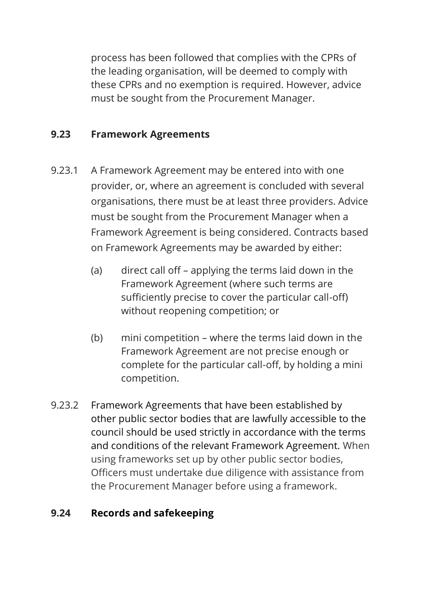process has been followed that complies with the CPRs of the leading organisation, will be deemed to comply with these CPRs and no exemption is required. However, advice must be sought from the Procurement Manager.

### **9.23 Framework Agreements**

- 9.23.1 A Framework Agreement may be entered into with one provider, or, where an agreement is concluded with several organisations, there must be at least three providers. Advice must be sought from the Procurement Manager when a Framework Agreement is being considered. Contracts based on Framework Agreements may be awarded by either:
	- (a) direct call off applying the terms laid down in the Framework Agreement (where such terms are sufficiently precise to cover the particular call-off) without reopening competition; or
	- (b) mini competition where the terms laid down in the Framework Agreement are not precise enough or complete for the particular call-off, by holding a mini competition.
- 9.23.2 Framework Agreements that have been established by other public sector bodies that are lawfully accessible to the council should be used strictly in accordance with the terms and conditions of the relevant Framework Agreement. When using frameworks set up by other public sector bodies, Officers must undertake due diligence with assistance from the Procurement Manager before using a framework.

# **9.24 Records and safekeeping**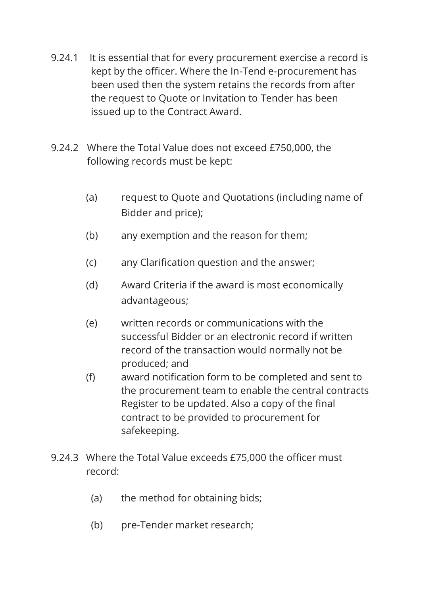- 9.24.1 It is essential that for every procurement exercise a record is kept by the officer. Where the In-Tend e-procurement has been used then the system retains the records from after the request to Quote or Invitation to Tender has been issued up to the Contract Award.
- 9.24.2 Where the Total Value does not exceed £750,000, the following records must be kept:
	- (a) request to Quote and Quotations (including name of Bidder and price);
	- (b) any exemption and the reason for them;
	- (c) any Clarification question and the answer;
	- (d) Award Criteria if the award is most economically advantageous;
	- (e) written records or communications with the successful Bidder or an electronic record if written record of the transaction would normally not be produced; and
	- (f) award notification form to be completed and sent to the procurement team to enable the central contracts Register to be updated. Also a copy of the final contract to be provided to procurement for safekeeping.
- 9.24.3 Where the Total Value exceeds £75,000 the officer must record:
	- (a) the method for obtaining bids;
	- (b) pre-Tender market research;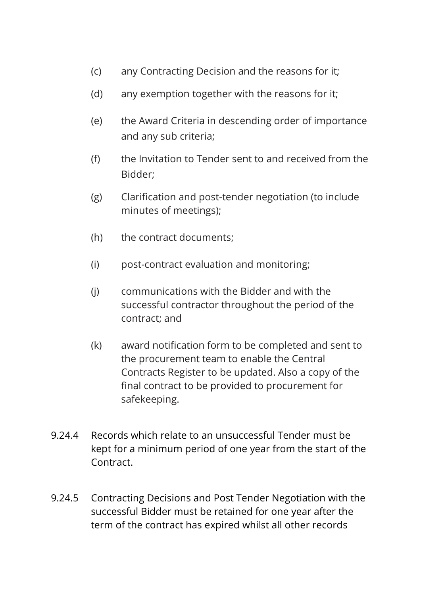- (c) any Contracting Decision and the reasons for it;
- (d) any exemption together with the reasons for it;
- (e) the Award Criteria in descending order of importance and any sub criteria;
- (f) the Invitation to Tender sent to and received from the Bidder;
- (g) Clarification and post-tender negotiation (to include minutes of meetings);
- (h) the contract documents;
- (i) post-contract evaluation and monitoring;
- (j) communications with the Bidder and with the successful contractor throughout the period of the contract; and
- (k) award notification form to be completed and sent to the procurement team to enable the Central Contracts Register to be updated. Also a copy of the final contract to be provided to procurement for safekeeping.
- 9.24.4 Records which relate to an unsuccessful Tender must be kept for a minimum period of one year from the start of the Contract.
- 9.24.5 Contracting Decisions and Post Tender Negotiation with the successful Bidder must be retained for one year after the term of the contract has expired whilst all other records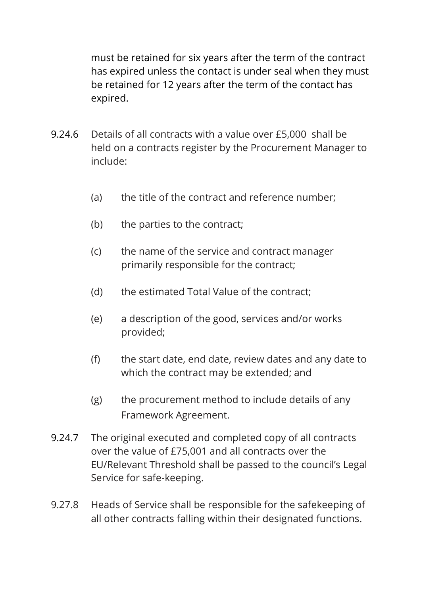must be retained for six years after the term of the contract has expired unless the contact is under seal when they must be retained for 12 years after the term of the contact has expired.

- 9.24.6 Details of all contracts with a value over £5,000 shall be held on a contracts register by the Procurement Manager to include:
	- (a) the title of the contract and reference number;
	- (b) the parties to the contract;
	- (c) the name of the service and contract manager primarily responsible for the contract;
	- (d) the estimated Total Value of the contract;
	- (e) a description of the good, services and/or works provided;
	- (f) the start date, end date, review dates and any date to which the contract may be extended; and
	- (g) the procurement method to include details of any Framework Agreement.
- 9.24.7 The original executed and completed copy of all contracts over the value of £75,001 and all contracts over the EU/Relevant Threshold shall be passed to the council's Legal Service for safe-keeping.
- 9.27.8 Heads of Service shall be responsible for the safekeeping of all other contracts falling within their designated functions.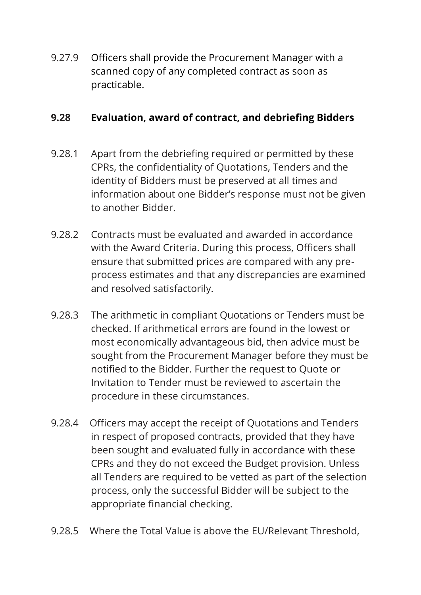9.27.9 Officers shall provide the Procurement Manager with a scanned copy of any completed contract as soon as practicable.

#### **9.28 Evaluation, award of contract, and debriefing Bidders**

- 9.28.1 Apart from the debriefing required or permitted by these CPRs, the confidentiality of Quotations, Tenders and the identity of Bidders must be preserved at all times and information about one Bidder's response must not be given to another Bidder.
- 9.28.2 Contracts must be evaluated and awarded in accordance with the Award Criteria. During this process, Officers shall ensure that submitted prices are compared with any preprocess estimates and that any discrepancies are examined and resolved satisfactorily.
- 9.28.3 The arithmetic in compliant Quotations or Tenders must be checked. If arithmetical errors are found in the lowest or most economically advantageous bid, then advice must be sought from the Procurement Manager before they must be notified to the Bidder. Further the request to Quote or Invitation to Tender must be reviewed to ascertain the procedure in these circumstances.
- 9.28.4 Officers may accept the receipt of Quotations and Tenders in respect of proposed contracts, provided that they have been sought and evaluated fully in accordance with these CPRs and they do not exceed the Budget provision. Unless all Tenders are required to be vetted as part of the selection process, only the successful Bidder will be subject to the appropriate financial checking.
- 9.28.5 Where the Total Value is above the EU/Relevant Threshold,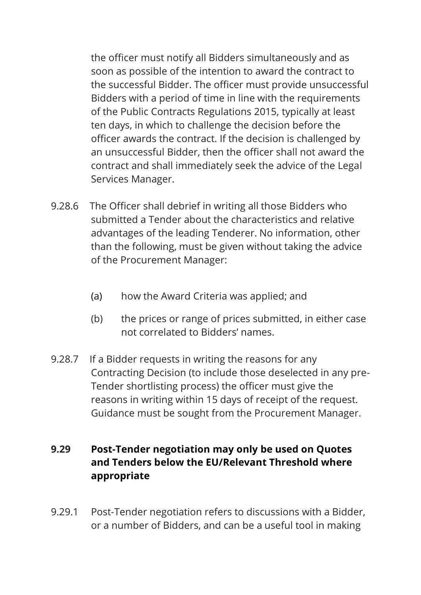the officer must notify all Bidders simultaneously and as soon as possible of the intention to award the contract to the successful Bidder. The officer must provide unsuccessful Bidders with a period of time in line with the requirements of the Public Contracts Regulations 2015, typically at least ten days, in which to challenge the decision before the officer awards the contract. If the decision is challenged by an unsuccessful Bidder, then the officer shall not award the contract and shall immediately seek the advice of the Legal Services Manager.

- 9.28.6 The Officer shall debrief in writing all those Bidders who submitted a Tender about the characteristics and relative advantages of the leading Tenderer. No information, other than the following, must be given without taking the advice of the Procurement Manager:
	- (a) how the Award Criteria was applied; and
	- (b) the prices or range of prices submitted, in either case not correlated to Bidders' names.
- 9.28.7 If a Bidder requests in writing the reasons for any Contracting Decision (to include those deselected in any pre-Tender shortlisting process) the officer must give the reasons in writing within 15 days of receipt of the request. Guidance must be sought from the Procurement Manager.

# **9.29 Post-Tender negotiation may only be used on Quotes and Tenders below the EU/Relevant Threshold where appropriate**

9.29.1 Post-Tender negotiation refers to discussions with a Bidder, or a number of Bidders, and can be a useful tool in making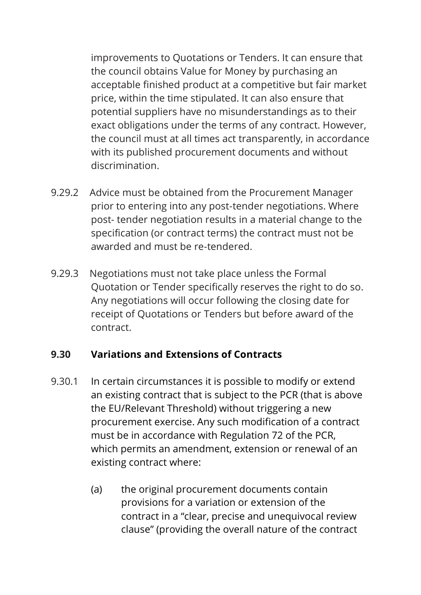improvements to Quotations or Tenders. It can ensure that the council obtains Value for Money by purchasing an acceptable finished product at a competitive but fair market price, within the time stipulated. It can also ensure that potential suppliers have no misunderstandings as to their exact obligations under the terms of any contract. However, the council must at all times act transparently, in accordance with its published procurement documents and without discrimination.

- 9.29.2 Advice must be obtained from the Procurement Manager prior to entering into any post-tender negotiations. Where post- tender negotiation results in a material change to the specification (or contract terms) the contract must not be awarded and must be re-tendered.
- 9.29.3 Negotiations must not take place unless the Formal Quotation or Tender specifically reserves the right to do so. Any negotiations will occur following the closing date for receipt of Quotations or Tenders but before award of the contract.

#### **9.30 Variations and Extensions of Contracts**

- 9.30.1 In certain circumstances it is possible to modify or extend an existing contract that is subject to the PCR (that is above the EU/Relevant Threshold) without triggering a new procurement exercise. Any such modification of a contract must be in accordance with Regulation 72 of the PCR, which permits an amendment, extension or renewal of an existing contract where:
	- (a) the original procurement documents contain provisions for a variation or extension of the contract in a "clear, precise and unequivocal review clause" (providing the overall nature of the contract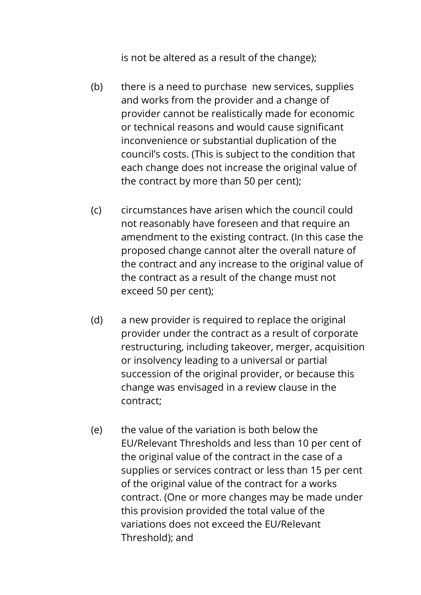is not be altered as a result of the change);

- (b) there is a need to purchase new services, supplies and works from the provider and a change of provider cannot be realistically made for economic or technical reasons and would cause significant inconvenience or substantial duplication of the council's costs. (This is subject to the condition that each change does not increase the original value of the contract by more than 50 per cent);
- (c) circumstances have arisen which the council could not reasonably have foreseen and that require an amendment to the existing contract. (In this case the proposed change cannot alter the overall nature of the contract and any increase to the original value of the contract as a result of the change must not exceed 50 per cent);
- (d) a new provider is required to replace the original provider under the contract as a result of corporate restructuring, including takeover, merger, acquisition or insolvency leading to a universal or partial succession of the original provider, or because this change was envisaged in a review clause in the contract;
- (e) the value of the variation is both below the EU/Relevant Thresholds and less than 10 per cent of the original value of the contract in the case of a supplies or services contract or less than 15 per cent of the original value of the contract for a works contract. (One or more changes may be made under this provision provided the total value of the variations does not exceed the EU/Relevant Threshold); and